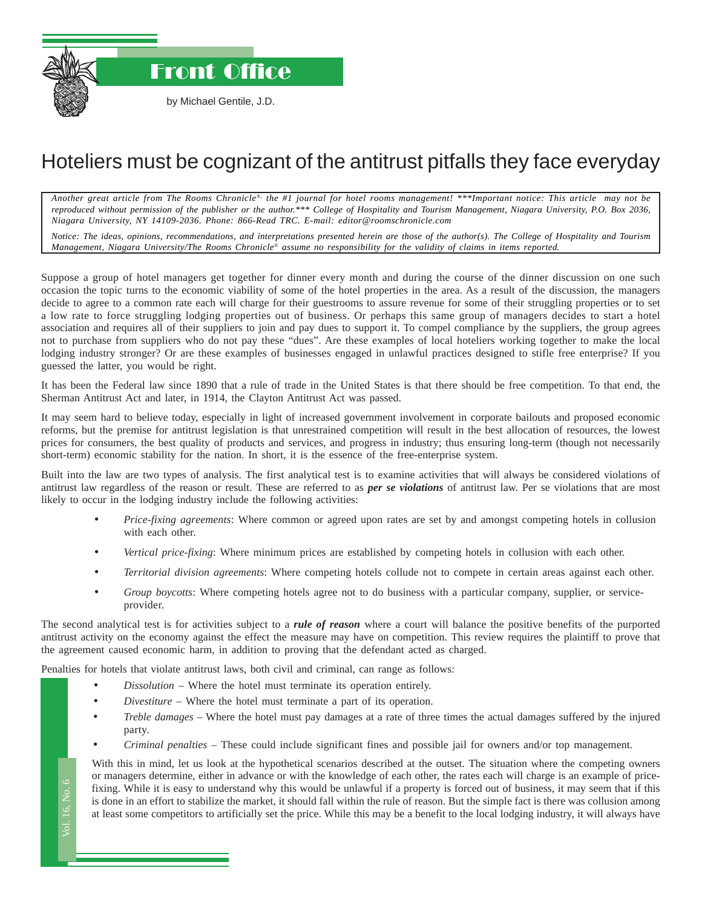Front Office

by Michael Gentile, J.D.

## Hoteliers must be cognizant of the antitrust pitfalls they face everyday

*Another great article from The Rooms Chronicle*®*, the #1 journal for hotel rooms management! \*\*\*Important notice: This article may not be reproduced without permission of the publisher or the author.\*\*\* College of Hospitality and Tourism Management, Niagara University, P.O. Box 2036, Niagara University, NY 14109-2036. Phone: 866-Read TRC. E-mail: editor@roomschronicle.com*

*Notice: The ideas, opinions, recommendations, and interpretations presented herein are those of the author(s). The College of Hospitality and Tourism Management, Niagara University/The Rooms Chronicle*® *assume no responsibility for the validity of claims in items reported.*

Suppose a group of hotel managers get together for dinner every month and during the course of the dinner discussion on one such occasion the topic turns to the economic viability of some of the hotel properties in the area. As a result of the discussion, the managers decide to agree to a common rate each will charge for their guestrooms to assure revenue for some of their struggling properties or to set a low rate to force struggling lodging properties out of business. Or perhaps this same group of managers decides to start a hotel association and requires all of their suppliers to join and pay dues to support it. To compel compliance by the suppliers, the group agrees not to purchase from suppliers who do not pay these "dues". Are these examples of local hoteliers working together to make the local lodging industry stronger? Or are these examples of businesses engaged in unlawful practices designed to stifle free enterprise? If you guessed the latter, you would be right.

It has been the Federal law since 1890 that a rule of trade in the United States is that there should be free competition. To that end, the Sherman Antitrust Act and later, in 1914, the Clayton Antitrust Act was passed.

It may seem hard to believe today, especially in light of increased government involvement in corporate bailouts and proposed economic reforms, but the premise for antitrust legislation is that unrestrained competition will result in the best allocation of resources, the lowest prices for consumers, the best quality of products and services, and progress in industry; thus ensuring long-term (though not necessarily short-term) economic stability for the nation. In short, it is the essence of the free-enterprise system.

Built into the law are two types of analysis. The first analytical test is to examine activities that will always be considered violations of antitrust law regardless of the reason or result. These are referred to as *per se violations* of antitrust law. Per se violations that are most likely to occur in the lodging industry include the following activities:

- *Price-fixing agreements*: Where common or agreed upon rates are set by and amongst competing hotels in collusion with each other.
- *Vertical price-fixing*: Where minimum prices are established by competing hotels in collusion with each other.
- *Territorial division agreements*: Where competing hotels collude not to compete in certain areas against each other.
- *Group boycotts*: Where competing hotels agree not to do business with a particular company, supplier, or serviceprovider.

The second analytical test is for activities subject to a *rule of reason* where a court will balance the positive benefits of the purported antitrust activity on the economy against the effect the measure may have on competition. This review requires the plaintiff to prove that the agreement caused economic harm, in addition to proving that the defendant acted as charged.

Penalties for hotels that violate antitrust laws, both civil and criminal, can range as follows:

- *Dissolution* Where the hotel must terminate its operation entirely.
- *Divestiture* Where the hotel must terminate a part of its operation.
- *Treble damages* Where the hotel must pay damages at a rate of three times the actual damages suffered by the injured party.
- *Criminal penalties* These could include significant fines and possible jail for owners and/or top management.

ing<br>loi<br>ea With this in mind, let us look at the hypothetical scenarios described at the outset. The situation where the competing owners or managers determine, either in advance or with the knowledge of each other, the rates each will charge is an example of pricefixing. While it is easy to understand why this would be unlawful if a property is forced out of business, it may seem that if this is done in an effort to stabilize the market, it should fall within the rule of reason. But the simple fact is there was collusion among at least some competitors to artificially set the price. While this may be a benefit to the local lodging industry, it will always have

Vol. 16, No. 6